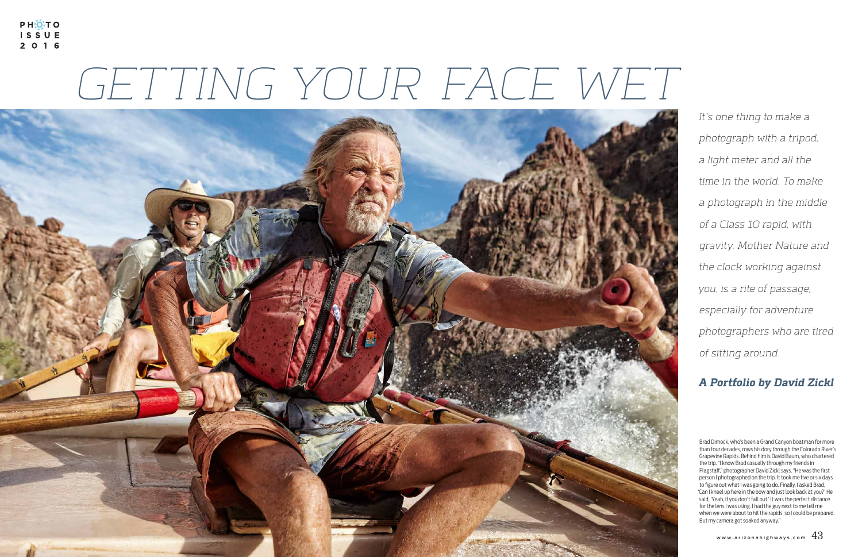PH:OTO ISSUE 2 0 1 6

## GETTING YOUR FACE WET



It's one thing to make a photograph with a tripod, a light meter and all the time in the world. To make a photograph in the middle of a Class 10 rapid, with gravity, Mother Nature and the clock working against you, is a rite of passage, especially for adventure photographers who are tired of sitting around.

## **A Portfolio by David Zickl**

Brad Dimock, who's been a Grand Canyon boatman for more than four decades, rows his dory through the Colorado River's Grapevine Rapids. Behind him is David Baum, who chartered the trip. "I know Brad casually through my friends in Flagstaff," photographer David Zickl says. "He was the first person I photographed on the trip. It took me five or six days to figure out what I was going to do. Finally, I asked Brad, 'Can I kneel up here in the bow and just look back at you?' He said, 'Yeah, if you don't fall out.' It was the perfect distance for the lens I was using. I had the guy next to me tell me when we were about to hit the rapids, so I could be prepared. But my camera got soaked anyway."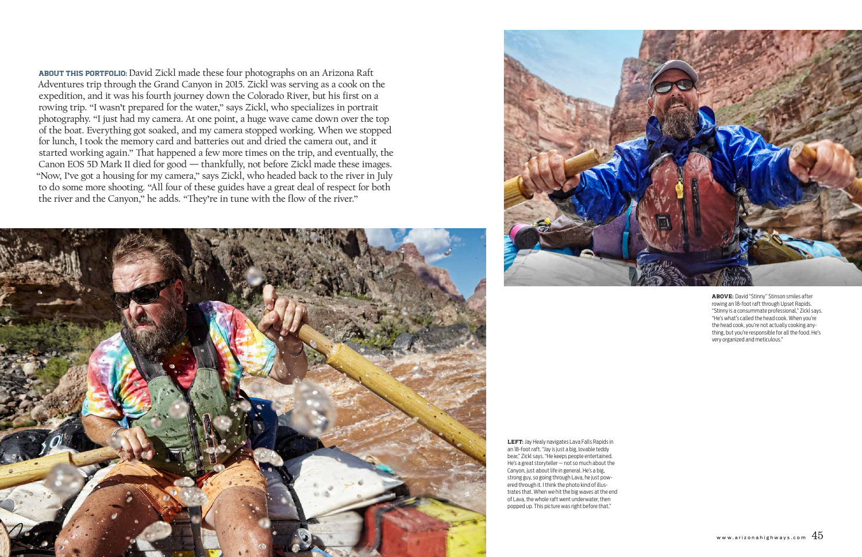LEFT: Jay Healy navigates Lava Falls Rapids in an 18-foot raft. "Jay is just a big, lovable teddy bear," Zickl says. "He keeps people entertained. He's a great storyteller — not so much about the Canyon, just about life in general. He's a big, strong guy, so going through Lava, he just powered through it. I think the photo kind of illustrates that. When we hit the big waves at the end of Lava, the whole raft went underwater, then popped up. This picture was right before that."

ABOVE: David "Stinny" Stinson smiles after rowing an 18-foot raft through Upset Rapids. "Stinny is a consummate professional," Zickl says. "He's what's called the head cook. When you're the head cook, you're not actually cooking anything, but you're responsible for all the food. He's very organized and meticulous."

ABOUT THIS PORTFOLIO: David Zickl made these four photographs on an Arizona Raft Adventures trip through the Grand Canyon in 2015. Zickl was serving as a cook on the expedition, and it was his fourth journey down the Colorado River, but his first on a rowing trip. "I wasn't prepared for the water," says Zickl, who specializes in portrait photography. "I just had my camera. At one point, a huge wave came down over the top of the boat. Everything got soaked, and my camera stopped working. When we stopped for lunch, I took the memory card and batteries out and dried the camera out, and it started working again." That happened a few more times on the trip, and eventually, the Canon EOS 5D Mark II died for good — thankfully, not before Zickl made these images. "Now, I've got a housing for my camera," says Zickl, who headed back to the river in July to do some more shooting. "All four of these guides have a great deal of respect for both the river and the Canyon," he adds. "They're in tune with the flow of the river."